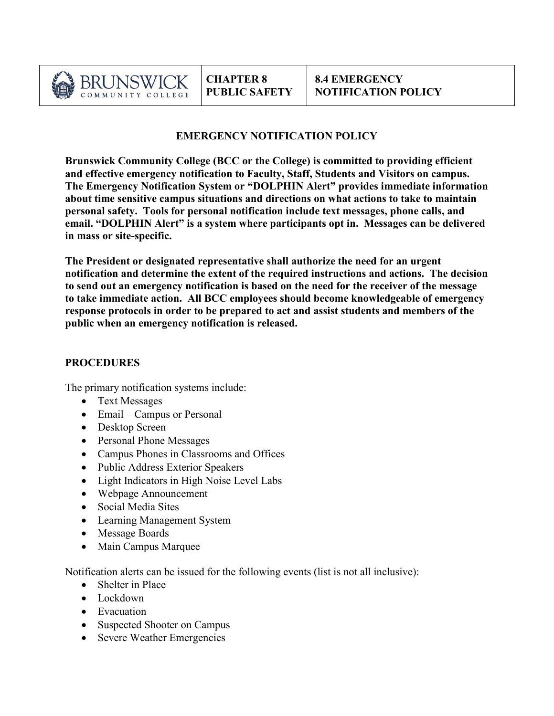

## **EMERGENCY NOTIFICATION POLICY**

**Brunswick Community College (BCC or the College) is committed to providing efficient and effective emergency notification to Faculty, Staff, Students and Visitors on campus. The Emergency Notification System or "DOLPHIN Alert" provides immediate information about time sensitive campus situations and directions on what actions to take to maintain personal safety. Tools for personal notification include text messages, phone calls, and email. "DOLPHIN Alert" is a system where participants opt in. Messages can be delivered in mass or site-specific.** 

**The President or designated representative shall authorize the need for an urgent notification and determine the extent of the required instructions and actions. The decision to send out an emergency notification is based on the need for the receiver of the message to take immediate action. All BCC employees should become knowledgeable of emergency response protocols in order to be prepared to act and assist students and members of the public when an emergency notification is released.** 

## **PROCEDURES**

The primary notification systems include:

- Text Messages
- Email Campus or Personal
- Desktop Screen
- Personal Phone Messages
- Campus Phones in Classrooms and Offices
- Public Address Exterior Speakers
- Light Indicators in High Noise Level Labs
- Webpage Announcement
- Social Media Sites
- Learning Management System
- Message Boards
- Main Campus Marquee

Notification alerts can be issued for the following events (list is not all inclusive):

- Shelter in Place
- Lockdown
- Evacuation
- Suspected Shooter on Campus
- Severe Weather Emergencies